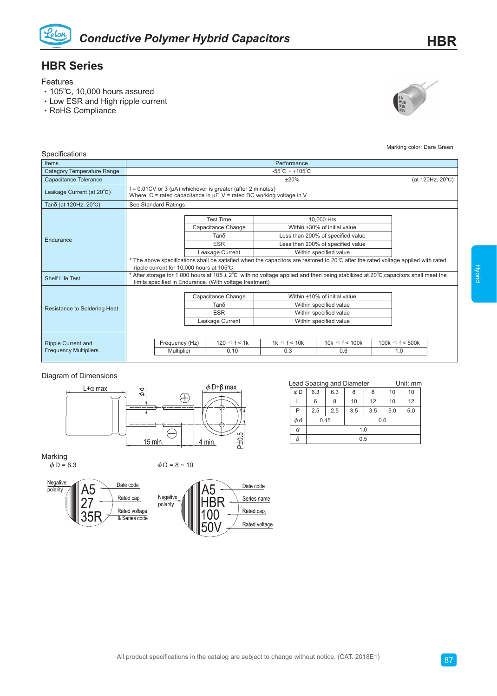

## **HBR Series**

Features

- ‧105℃, 10,000 hours assured
- ‧Low ESR and High ripple current
- ‧RoHS Compliance



Marking color: Dare Green

| Specifications                                                                            |                                                                                                                                                                                              |                                                             |                                                                                 |                                                                                                                                                                                                                                                                                     |                           |                             |  |  |  |  |  |
|-------------------------------------------------------------------------------------------|----------------------------------------------------------------------------------------------------------------------------------------------------------------------------------------------|-------------------------------------------------------------|---------------------------------------------------------------------------------|-------------------------------------------------------------------------------------------------------------------------------------------------------------------------------------------------------------------------------------------------------------------------------------|---------------------------|-----------------------------|--|--|--|--|--|
| <b>Items</b>                                                                              | Performance                                                                                                                                                                                  |                                                             |                                                                                 |                                                                                                                                                                                                                                                                                     |                           |                             |  |  |  |  |  |
| <b>Category Temperature Range</b>                                                         | $-55^{\circ}$ C ~ +105 $^{\circ}$ C                                                                                                                                                          |                                                             |                                                                                 |                                                                                                                                                                                                                                                                                     |                           |                             |  |  |  |  |  |
| Capacitance Tolerance                                                                     | ±20%<br>(at 120Hz, 20°C)                                                                                                                                                                     |                                                             |                                                                                 |                                                                                                                                                                                                                                                                                     |                           |                             |  |  |  |  |  |
| Leakage Current (at $20^{\circ}$ C)                                                       | $I = 0.01CV$ or 3 ( $\mu$ A) whichever is greater (after 2 minutes)<br>Where, $C =$ rated capacitance in $\mu$ F, V = rated DC working voltage in V                                          |                                                             |                                                                                 |                                                                                                                                                                                                                                                                                     |                           |                             |  |  |  |  |  |
| Tanδ (at 120Hz, 20°C)                                                                     | See Standard Ratings                                                                                                                                                                         |                                                             |                                                                                 |                                                                                                                                                                                                                                                                                     |                           |                             |  |  |  |  |  |
| Endurance                                                                                 | ripple current for 10,000 hours at 105°C.                                                                                                                                                    |                                                             | <b>Test Time</b><br>Capacitance Change<br>Tanδ<br><b>ESR</b><br>Leakage Current | 10,000 Hrs<br>Within ±30% of initial value<br>Less than 200% of specified value<br>Less than 200% of specified value<br>Within specified value<br>* The above specifications shall be satisfied when the capacitors are restored to 20°C after the rated voltage applied with rated |                           |                             |  |  |  |  |  |
| <b>Shelf Life Test</b>                                                                    | * After storage for 1,000 hours at 105 ± 2°C with no voltage applied and then being stabilized at 20°C, capacitors shall meet the<br>limits specified in Endurance. (With voltage treatment) |                                                             |                                                                                 |                                                                                                                                                                                                                                                                                     |                           |                             |  |  |  |  |  |
| Resistance to Soldering Heat                                                              |                                                                                                                                                                                              | Capacitance Change<br>Tanδ<br><b>ESR</b><br>Leakage Current |                                                                                 | Within ±10% of initial value<br>Within specified value<br>Within specified value<br>Within specified value                                                                                                                                                                          |                           |                             |  |  |  |  |  |
| Frequency (Hz)<br><b>Ripple Current and</b><br><b>Frequency Multipliers</b><br>Multiplier |                                                                                                                                                                                              |                                                             | $120 \le f < 1k$<br>0.10                                                        | $1k \leq f < 10k$<br>0.3                                                                                                                                                                                                                                                            | $10k \le f < 100k$<br>0.6 | $100k \leq f < 500k$<br>1.0 |  |  |  |  |  |

## Diagram of Dimensions



|          | Lead Spacing and Diameter | Unit: mm |     |     |     |     |  |  |
|----------|---------------------------|----------|-----|-----|-----|-----|--|--|
| φD       | 6.3                       | 6.3      | 8   | 8   | 10  | 10  |  |  |
|          | 6                         | 8        | 10  | 12  | 10  | 12  |  |  |
| P        | 2.5                       | 2.5      | 3.5 | 3.5 | 5.0 | 5.0 |  |  |
| φd       | 0.6<br>0.45               |          |     |     |     |     |  |  |
| $\alpha$ | 1.0                       |          |     |     |     |     |  |  |
|          | 0.5                       |          |     |     |     |     |  |  |

Marking<br> $\phi$ D = 6.3

 $φD = 8 ~ 10$